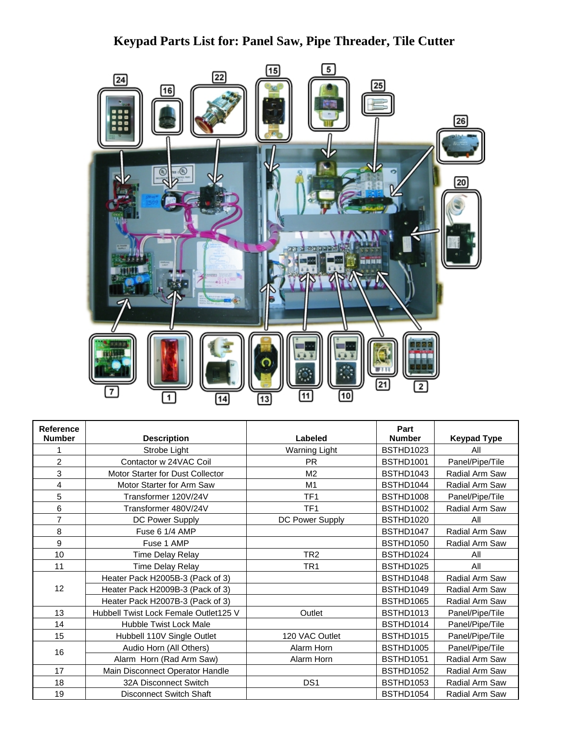## **Keypad Parts List for: Panel Saw, Pipe Threader, Tile Cutter**



| Reference      |                                         |                      | Part             |                    |
|----------------|-----------------------------------------|----------------------|------------------|--------------------|
| <b>Number</b>  | <b>Description</b>                      | Labeled              | <b>Number</b>    | <b>Keypad Type</b> |
|                | Strobe Light                            | <b>Warning Light</b> | BSTHD1023        | All                |
| $\overline{c}$ | Contactor w 24VAC Coil                  | <b>PR</b>            | <b>BSTHD1001</b> | Panel/Pipe/Tile    |
| 3              | <b>Motor Starter for Dust Collector</b> | M <sub>2</sub>       | BSTHD1043        | Radial Arm Saw     |
| 4              | Motor Starter for Arm Saw               | M1                   | BSTHD1044        | Radial Arm Saw     |
| 5              | Transformer 120V/24V                    | TF <sub>1</sub>      | <b>BSTHD1008</b> | Panel/Pipe/Tile    |
| 6              | Transformer 480V/24V                    | TF <sub>1</sub>      | <b>BSTHD1002</b> | Radial Arm Saw     |
| $\overline{7}$ | DC Power Supply                         | DC Power Supply      | BSTHD1020        | All                |
| 8              | Fuse 6 1/4 AMP                          |                      | BSTHD1047        | Radial Arm Saw     |
| 9              | Fuse 1 AMP                              |                      | <b>BSTHD1050</b> | Radial Arm Saw     |
| 10             | <b>Time Delay Relay</b>                 | TR <sub>2</sub>      | BSTHD1024        | All                |
| 11             | Time Delay Relay                        | TR <sub>1</sub>      | BSTHD1025        | All                |
| 12             | Heater Pack H2005B-3 (Pack of 3)        |                      | BSTHD1048        | Radial Arm Saw     |
|                | Heater Pack H2009B-3 (Pack of 3)        |                      | BSTHD1049        | Radial Arm Saw     |
|                | Heater Pack H2007B-3 (Pack of 3)        |                      | <b>BSTHD1065</b> | Radial Arm Saw     |
| 13             | Hubbell Twist Lock Female Outlet125 V   | Outlet               | <b>BSTHD1013</b> | Panel/Pipe/Tile    |
| 14             | Hubble Twist Lock Male                  |                      | BSTHD1014        | Panel/Pipe/Tile    |
| 15             | Hubbell 110V Single Outlet              | 120 VAC Outlet       | <b>BSTHD1015</b> | Panel/Pipe/Tile    |
| 16             | Audio Horn (All Others)                 | Alarm Horn           | BSTHD1005        | Panel/Pipe/Tile    |
|                | Alarm Horn (Rad Arm Saw)                | Alarm Horn           | <b>BSTHD1051</b> | Radial Arm Saw     |
| 17             | Main Disconnect Operator Handle         |                      | <b>BSTHD1052</b> | Radial Arm Saw     |
| 18             | 32A Disconnect Switch                   | DS <sub>1</sub>      | <b>BSTHD1053</b> | Radial Arm Saw     |
| 19             | <b>Disconnect Switch Shaft</b>          |                      | BSTHD1054        | Radial Arm Saw     |